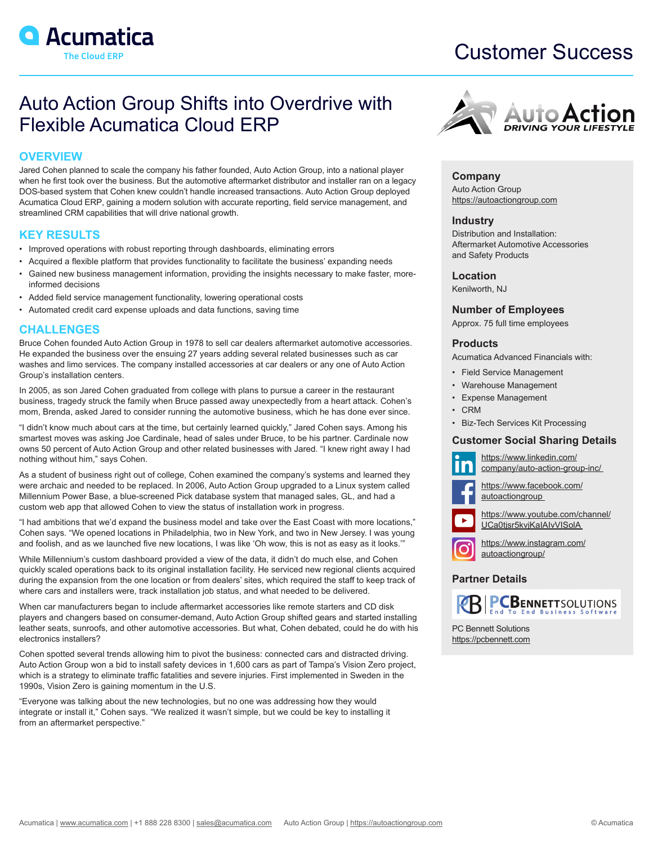

# Customer Success

## Auto Action Group Shifts into Overdrive with Flexible Acumatica Cloud ERP

## **OVERVIEW**

Jared Cohen planned to scale the company his father founded, Auto Action Group, into a national player when he first took over the business. But the automotive aftermarket distributor and installer ran on a legacy DOS-based system that Cohen knew couldn't handle increased transactions. Auto Action Group deployed Acumatica Cloud ERP, gaining a modern solution with accurate reporting, field service management, and streamlined CRM capabilities that will drive national growth.

## **KEY RESULTS**

- Improved operations with robust reporting through dashboards, eliminating errors
- Acquired a flexible platform that provides functionality to facilitate the business' expanding needs
- Gained new business management information, providing the insights necessary to make faster, moreinformed decisions
- Added field service management functionality, lowering operational costs
- Automated credit card expense uploads and data functions, saving time

## **CHALLENGES**

Bruce Cohen founded Auto Action Group in 1978 to sell car dealers aftermarket automotive accessories. He expanded the business over the ensuing 27 years adding several related businesses such as car washes and limo services. The company installed accessories at car dealers or any one of Auto Action Group's installation centers.

In 2005, as son Jared Cohen graduated from college with plans to pursue a career in the restaurant business, tragedy struck the family when Bruce passed away unexpectedly from a heart attack. Cohen's mom, Brenda, asked Jared to consider running the automotive business, which he has done ever since.

"I didn't know much about cars at the time, but certainly learned quickly," Jared Cohen says. Among his smartest moves was asking Joe Cardinale, head of sales under Bruce, to be his partner. Cardinale now owns 50 percent of Auto Action Group and other related businesses with Jared. "I knew right away I had nothing without him," says Cohen.

As a student of business right out of college, Cohen examined the company's systems and learned they were archaic and needed to be replaced. In 2006, Auto Action Group upgraded to a Linux system called Millennium Power Base, a blue-screened Pick database system that managed sales, GL, and had a custom web app that allowed Cohen to view the status of installation work in progress.

"I had ambitions that we'd expand the business model and take over the East Coast with more locations," Cohen says. "We opened locations in Philadelphia, two in New York, and two in New Jersey. I was young and foolish, and as we launched five new locations, I was like 'Oh wow, this is not as easy as it looks.'"

While Millennium's custom dashboard provided a view of the data, it didn't do much else, and Cohen quickly scaled operations back to its original installation facility. He serviced new regional clients acquired during the expansion from the one location or from dealers' sites, which required the staff to keep track of where cars and installers were, track installation job status, and what needed to be delivered.

When car manufacturers began to include aftermarket accessories like remote starters and CD disk players and changers based on consumer-demand, Auto Action Group shifted gears and started installing leather seats, sunroofs, and other automotive accessories. But what, Cohen debated, could he do with his electronics installers?

Cohen spotted several trends allowing him to pivot the business: connected cars and distracted driving. Auto Action Group won a bid to install safety devices in 1,600 cars as part of Tampa's Vision Zero project, which is a strategy to eliminate traffic fatalities and severe injuries. First implemented in Sweden in the 1990s, Vision Zero is gaining momentum in the U.S.

"Everyone was talking about the new technologies, but no one was addressing how they would integrate or install it," Cohen says. "We realized it wasn't simple, but we could be key to installing it from an aftermarket perspective."



**Company** Auto Action Group <https://autoactiongroup.com>

### **Industry**

Distribution and Installation: Aftermarket Automotive Accessories and Safety Products

#### **Location**

Kenilworth, NJ

#### **Number of Employees**

Approx. 75 full time employees

#### **Products**

Acumatica Advanced Financials with:

- Field Service Management
- Warehouse Management
	- Expense Management
- CRM
- Biz-Tech Services Kit Processing

#### **Customer Social Sharing Details**



[https://www.linkedin.com/](https://www.linkedin.com/company/auto-action-group-inc/ ) [company/auto-action-group-inc/](https://www.linkedin.com/company/auto-action-group-inc/ ) 



[https://www.facebook.com/](https://www.facebook.com/autoactiongroup ) [autoactiongroup](https://www.facebook.com/autoactiongroup ) 

[https://www.youtube.com/channel/](https://www.youtube.com/channel/UCa0tjsr5kvjKaIAIvVISolA ) UCa0tjsr5kvjKaIAIvVISolA



[https://www.instagram.com/](https://www.instagram.com/autoactiongroup/) [autoactiongroup/](https://www.instagram.com/autoactiongroup/)

## **Partner Details**



PC Bennett Solutions <https://pcbennett.com>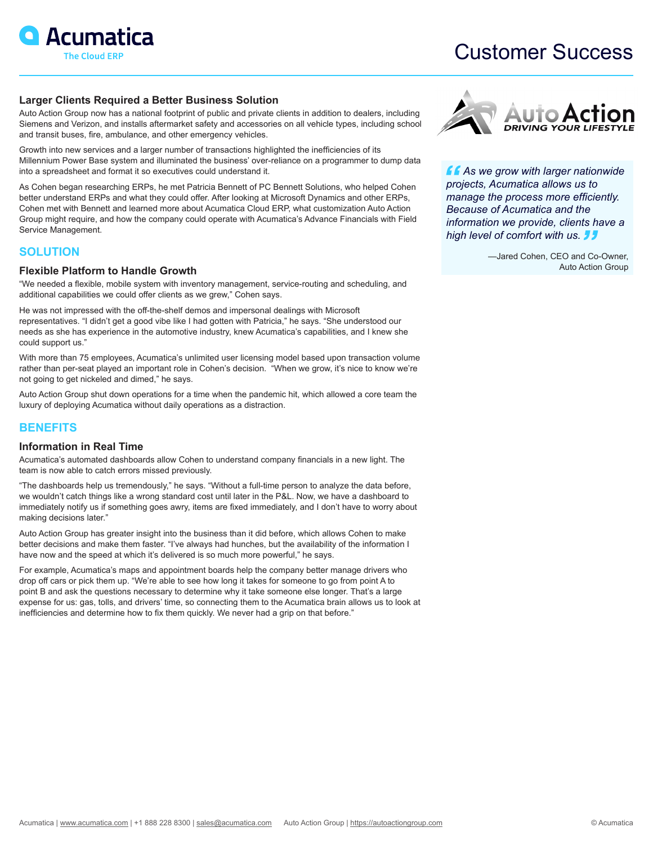

## Customer Success

#### **Larger Clients Required a Better Business Solution**

Auto Action Group now has a national footprint of public and private clients in addition to dealers, including Siemens and Verizon, and installs aftermarket safety and accessories on all vehicle types, including school and transit buses, fire, ambulance, and other emergency vehicles.

Growth into new services and a larger number of transactions highlighted the inefficiencies of its Millennium Power Base system and illuminated the business' over-reliance on a programmer to dump data into a spreadsheet and format it so executives could understand it.

As Cohen began researching ERPs, he met Patricia Bennett of PC Bennett Solutions, who helped Cohen better understand ERPs and what they could offer. After looking at Microsoft Dynamics and other ERPs, Cohen met with Bennett and learned more about Acumatica Cloud ERP, what customization Auto Action Group might require, and how the company could operate with Acumatica's Advance Financials with Field Service Management.

## **SOLUTION**

#### **Flexible Platform to Handle Growth**

"We needed a flexible, mobile system with inventory management, service-routing and scheduling, and additional capabilities we could offer clients as we grew," Cohen says.

He was not impressed with the off-the-shelf demos and impersonal dealings with Microsoft representatives. "I didn't get a good vibe like I had gotten with Patricia," he says. "She understood our needs as she has experience in the automotive industry, knew Acumatica's capabilities, and I knew she could support us."

With more than 75 employees, Acumatica's unlimited user licensing model based upon transaction volume rather than per-seat played an important role in Cohen's decision. "When we grow, it's nice to know we're not going to get nickeled and dimed," he says.

Auto Action Group shut down operations for a time when the pandemic hit, which allowed a core team the luxury of deploying Acumatica without daily operations as a distraction.

## **BENEFITS**

#### **Information in Real Time**

Acumatica's automated dashboards allow Cohen to understand company financials in a new light. The team is now able to catch errors missed previously.

"The dashboards help us tremendously," he says. "Without a full-time person to analyze the data before, we wouldn't catch things like a wrong standard cost until later in the P&L. Now, we have a dashboard to immediately notify us if something goes awry, items are fixed immediately, and I don't have to worry about making decisions later."

Auto Action Group has greater insight into the business than it did before, which allows Cohen to make better decisions and make them faster. "I've always had hunches, but the availability of the information I have now and the speed at which it's delivered is so much more powerful," he says.

For example, Acumatica's maps and appointment boards help the company better manage drivers who drop off cars or pick them up. "We're able to see how long it takes for someone to go from point A to point B and ask the questions necessary to determine why it take someone else longer. That's a large expense for us: gas, tolls, and drivers' time, so connecting them to the Acumatica brain allows us to look at inefficiencies and determine how to fix them quickly. We never had a grip on that before."



*As we grow with larger nationwide projects, Acumatica allows us to manage the process more efficiently. Because of Acumatica and the information we provide, clients have a high level of comfort with us.* 

> —Jared Cohen, CEO and Co-Owner, Auto Action Group